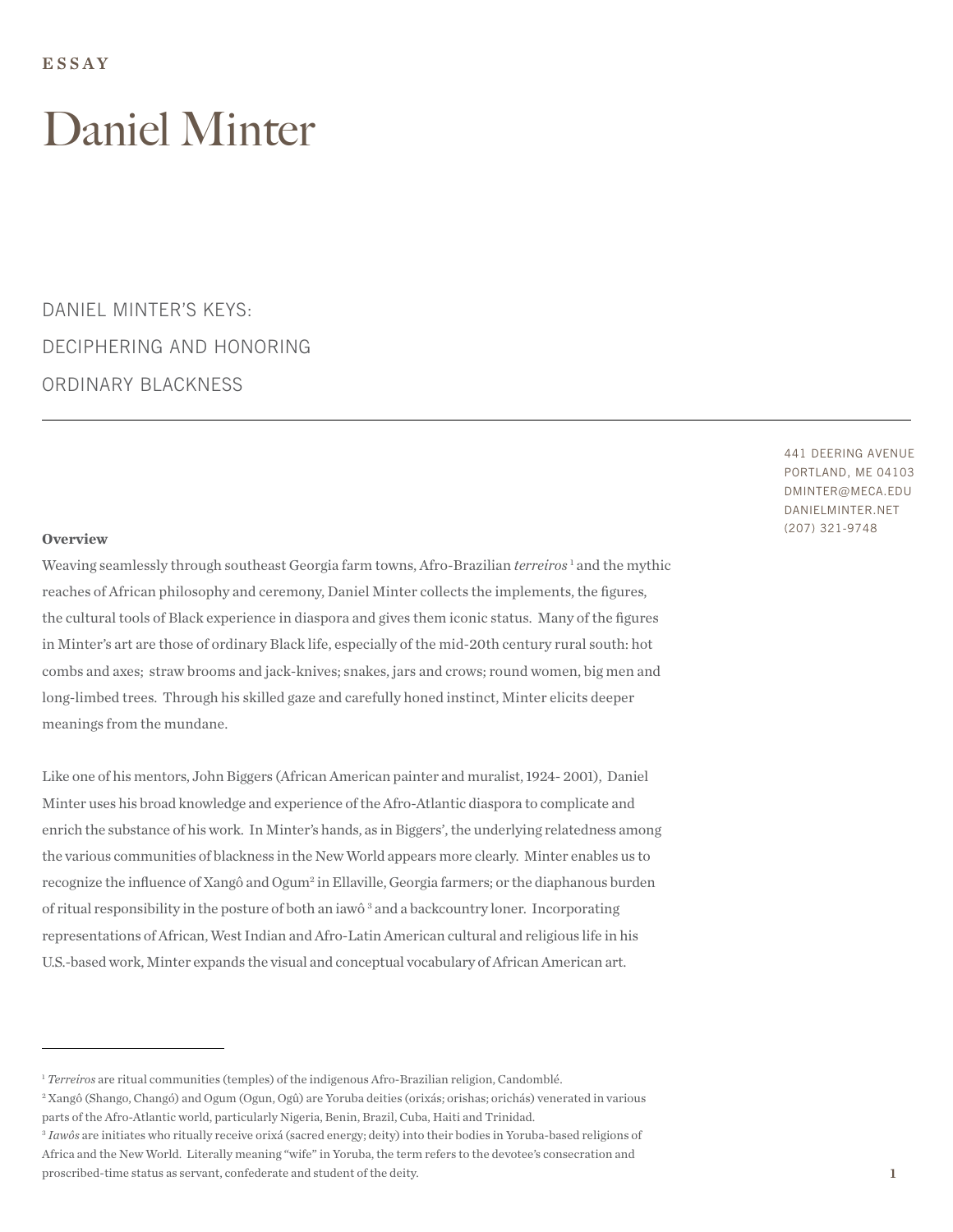DANIEL MINTER'S KEYS: DECIPHERING AND HONORING ORDINARY BLACKNESS

#### **Overview**

Weaving seamlessly through southeast Georgia farm towns, Afro-Brazilian *terreiros*<sup>1</sup> and the mythic reaches of African philosophy and ceremony, Daniel Minter collects the implements, the figures, the cultural tools of Black experience in diaspora and gives them iconic status. Many of the figures in Minter's art are those of ordinary Black life, especially of the mid-20th century rural south: hot combs and axes; straw brooms and jack-knives; snakes, jars and crows; round women, big men and long-limbed trees. Through his skilled gaze and carefully honed instinct, Minter elicits deeper meanings from the mundane.

Like one of his mentors, John Biggers (African American painter and muralist, 1924- 2001), Daniel Minter uses his broad knowledge and experience of the Afro-Atlantic diaspora to complicate and enrich the substance of his work. In Minter's hands, as in Biggers', the underlying relatedness among the various communities of blackness in the New World appears more clearly. Minter enables us to recognize the influence of Xangô and Ogum<sup>2</sup> in Ellaville, Georgia farmers; or the diaphanous burden of ritual responsibility in the posture of both an iawô<sup>3</sup> and a backcountry loner. Incorporating representations of African, West Indian and Afro-Latin American cultural and religious life in his U.S.-based work, Minter expands the visual and conceptual vocabulary of African American art.

441 DEERING AVENUE PORTLAND, ME 04103 DMINTER@MECA.EDU DANIELMINTER.NET (207) 321-9748

<sup>1</sup> *Terreiros* are ritual communities (temples) of the indigenous Afro-Brazilian religion, Candomblé.

<sup>2</sup> Xangô (Shango, Changó) and Ogum (Ogun, Ogû) are Yoruba deities (orixás; orishas; orichás) venerated in various parts of the Afro-Atlantic world, particularly Nigeria, Benin, Brazil, Cuba, Haiti and Trinidad.

<sup>3</sup> *Iawôs* are initiates who ritually receive orixá (sacred energy; deity) into their bodies in Yoruba-based religions of Africa and the New World. Literally meaning "wife" in Yoruba, the term refers to the devotee's consecration and proscribed-time status as servant, confederate and student of the deity.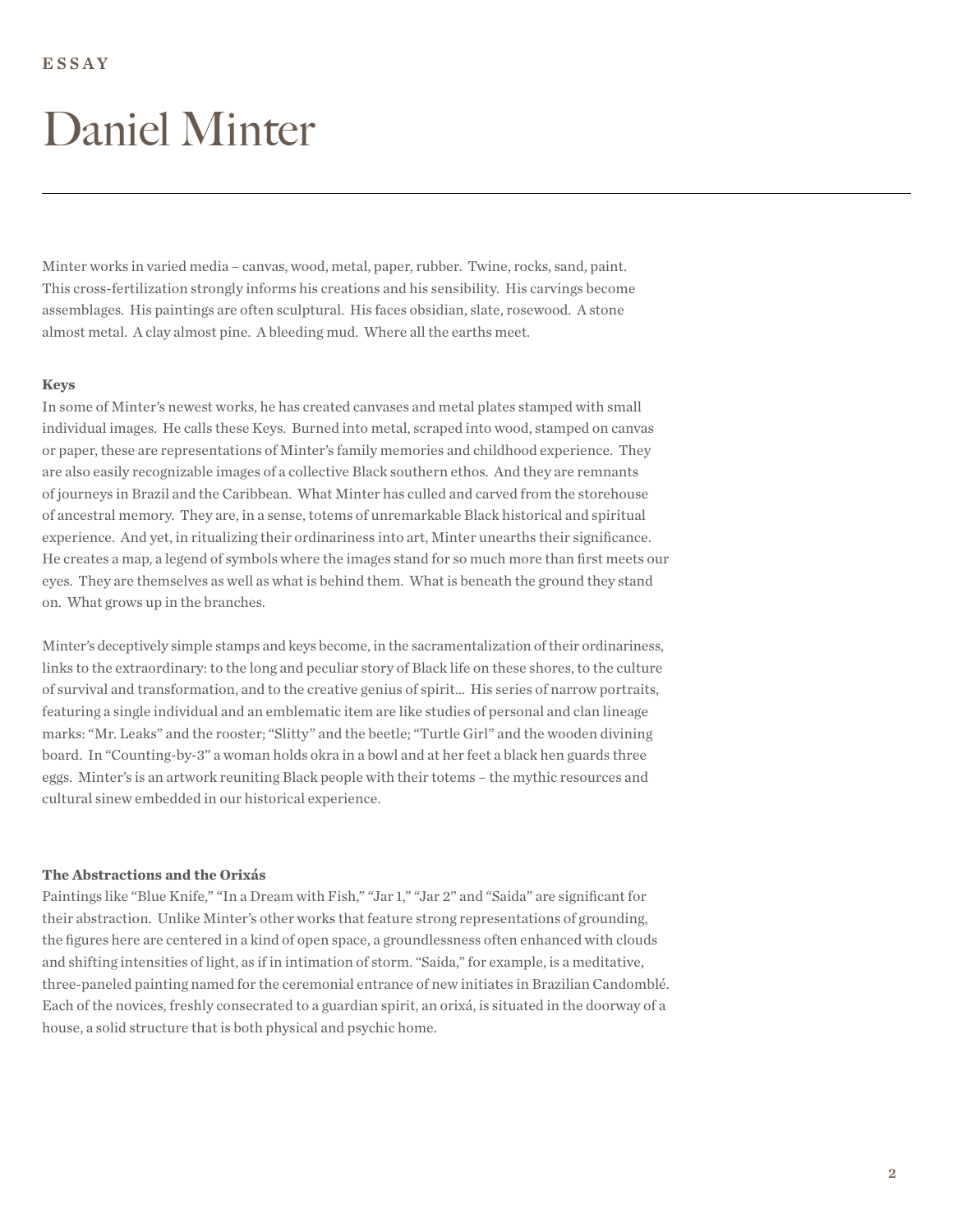Minter works in varied media – canvas, wood, metal, paper, rubber. Twine, rocks, sand, paint. This cross-fertilization strongly informs his creations and his sensibility. His carvings become assemblages. His paintings are often sculptural. His faces obsidian, slate, rosewood. A stone almost metal. A clay almost pine. A bleeding mud. Where all the earths meet.

#### **Keys**

In some of Minter's newest works, he has created canvases and metal plates stamped with small individual images. He calls these Keys. Burned into metal, scraped into wood, stamped on canvas or paper, these are representations of Minter's family memories and childhood experience. They are also easily recognizable images of a collective Black southern ethos. And they are remnants of journeys in Brazil and the Caribbean. What Minter has culled and carved from the storehouse of ancestral memory. They are, in a sense, totems of unremarkable Black historical and spiritual experience. And yet, in ritualizing their ordinariness into art, Minter unearths their significance. He creates a map, a legend of symbols where the images stand for so much more than first meets our eyes. They are themselves as well as what is behind them. What is beneath the ground they stand on. What grows up in the branches.

Minter's deceptively simple stamps and keys become, in the sacramentalization of their ordinariness, links to the extraordinary: to the long and peculiar story of Black life on these shores, to the culture of survival and transformation, and to the creative genius of spirit… His series of narrow portraits, featuring a single individual and an emblematic item are like studies of personal and clan lineage marks: "Mr. Leaks" and the rooster; "Slitty" and the beetle; "Turtle Girl" and the wooden divining board. In "Counting-by-3" a woman holds okra in a bowl and at her feet a black hen guards three eggs. Minter's is an artwork reuniting Black people with their totems – the mythic resources and cultural sinew embedded in our historical experience.

#### **The Abstractions and the Orixás**

Paintings like "Blue Knife," "In a Dream with Fish," "Jar 1," "Jar 2" and "Saida" are significant for their abstraction. Unlike Minter's other works that feature strong representations of grounding, the figures here are centered in a kind of open space, a groundlessness often enhanced with clouds and shifting intensities of light, as if in intimation of storm. "Saida," for example, is a meditative, three-paneled painting named for the ceremonial entrance of new initiates in Brazilian Candomblé. Each of the novices, freshly consecrated to a guardian spirit, an orixá, is situated in the doorway of a house, a solid structure that is both physical and psychic home.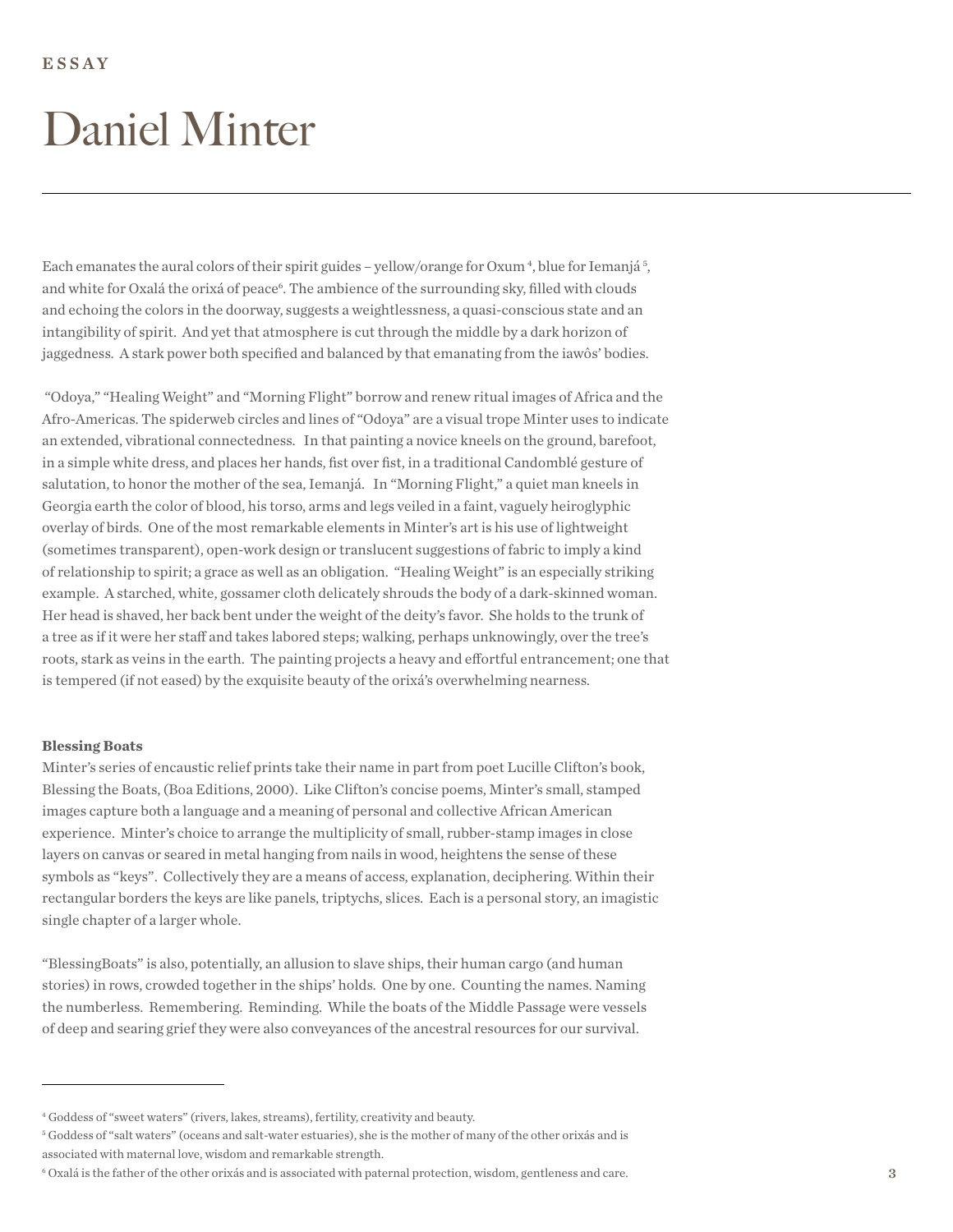Each emanates the aural colors of their spirit guides - yellow/orange for Oxum<sup>4</sup>, blue for Iemanjá<sup>5</sup>, and white for Oxalá the orixá of peace<sup>6</sup>. The ambience of the surrounding sky, filled with clouds and echoing the colors in the doorway, suggests a weightlessness, a quasi-conscious state and an intangibility of spirit. And yet that atmosphere is cut through the middle by a dark horizon of jaggedness. A stark power both specified and balanced by that emanating from the iawôs' bodies.

 "Odoya," "Healing Weight" and "Morning Flight" borrow and renew ritual images of Africa and the Afro-Americas. The spiderweb circles and lines of "Odoya" are a visual trope Minter uses to indicate an extended, vibrational connectedness. In that painting a novice kneels on the ground, barefoot, in a simple white dress, and places her hands, fist over fist, in a traditional Candomblé gesture of salutation, to honor the mother of the sea, Iemanjá. In "Morning Flight," a quiet man kneels in Georgia earth the color of blood, his torso, arms and legs veiled in a faint, vaguely heiroglyphic overlay of birds. One of the most remarkable elements in Minter's art is his use of lightweight (sometimes transparent), open-work design or translucent suggestions of fabric to imply a kind of relationship to spirit; a grace as well as an obligation. "Healing Weight" is an especially striking example. A starched, white, gossamer cloth delicately shrouds the body of a dark-skinned woman. Her head is shaved, her back bent under the weight of the deity's favor. She holds to the trunk of a tree as if it were her staff and takes labored steps; walking, perhaps unknowingly, over the tree's roots, stark as veins in the earth. The painting projects a heavy and efortful entrancement; one that is tempered (if not eased) by the exquisite beauty of the orixá's overwhelming nearness.

#### **Blessing Boats**

Minter's series of encaustic relief prints take their name in part from poet Lucille Clifton's book, Blessing the Boats, (Boa Editions, 2000). Like Clifton's concise poems, Minter's small, stamped images capture both a language and a meaning of personal and collective African American experience. Minter's choice to arrange the multiplicity of small, rubber-stamp images in close layers on canvas or seared in metal hanging from nails in wood, heightens the sense of these symbols as "keys". Collectively they are a means of access, explanation, deciphering. Within their rectangular borders the keys are like panels, triptychs, slices. Each is a personal story, an imagistic single chapter of a larger whole.

"BlessingBoats" is also, potentially, an allusion to slave ships, their human cargo (and human stories) in rows, crowded together in the ships' holds. One by one. Counting the names. Naming the numberless. Remembering. Reminding. While the boats of the Middle Passage were vessels of deep and searing grief they were also conveyances of the ancestral resources for our survival.

<sup>4</sup> Goddess of "sweet waters" (rivers, lakes, streams), fertility, creativity and beauty.

<sup>5</sup> Goddess of "salt waters" (oceans and salt-water estuaries), she is the mother of many of the other orixás and is associated with maternal love, wisdom and remarkable strength.

<sup>6</sup> Oxalá is the father of the other orixás and is associated with paternal protection, wisdom, gentleness and care. 3